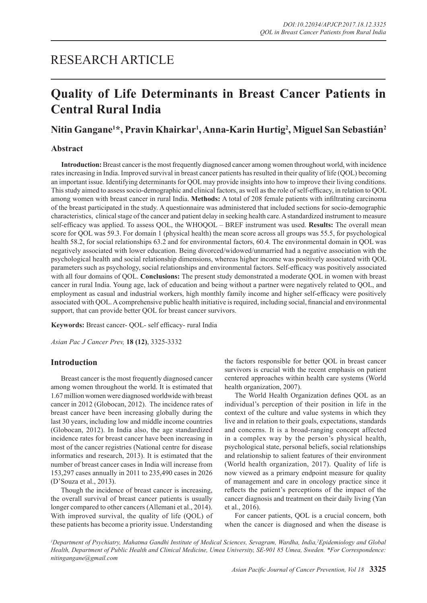## RESEARCH ARTICLE

# **Quality of Life Determinants in Breast Cancer Patients in Central Rural India**

## **Nitin Gangane1 \*, Pravin Khairkar1 , Anna-Karin Hurtig2 , Miguel San Sebastián2**

## **Abstract**

**Introduction:** Breast cancer is the most frequently diagnosed cancer among women throughout world, with incidence rates increasing in India. Improved survival in breast cancer patients has resulted in their quality of life (QOL) becoming an important issue. Identifying determinants for QOL may provide insights into how to improve their living conditions. This study aimed to assess socio-demographic and clinical factors, as well as the role of self-efficacy, in relation to QOL among women with breast cancer in rural India. **Methods:** A total of 208 female patients with infiltrating carcinoma of the breast participated in the study. A questionnaire was administered that included sections for socio-demographic characteristics, clinical stage of the cancer and patient delay in seeking health care. A standardized instrument to measure self-efficacy was applied. To assess QOL, the WHOQOL – BREF instrument was used. **Results:** The overall mean score for QOL was 59.3. For domain 1 (physical health) the mean score across all groups was 55.5, for psychological health 58.2, for social relationships 63.2 and for environmental factors, 60.4. The environmental domain in QOL was negatively associated with lower education. Being divorced/widowed/unmarried had a negative association with the psychological health and social relationship dimensions, whereas higher income was positively associated with QOL parameters such as psychology, social relationships and environmental factors. Self-efficacy was positively associated with all four domains of QOL. **Conclusions:** The present study demonstrated a moderate QOL in women with breast cancer in rural India. Young age, lack of education and being without a partner were negatively related to QOL, and employment as casual and industrial workers, high monthly family income and higher self-efficacy were positively associated with QOL. A comprehensive public health initiative is required, including social, financial and environmental support, that can provide better QOL for breast cancer survivors.

**Keywords:** Breast cancer- QOL- self efficacy- rural India

*Asian Pac J Cancer Prev,* **18 (12)**, 3325-3332

## **Introduction**

Breast cancer is the most frequently diagnosed cancer among women throughout the world. It is estimated that 1.67 million women were diagnosed worldwide with breast cancer in 2012 (Globocan, 2012). The incidence rates of breast cancer have been increasing globally during the last 30 years, including low and middle income countries (Globocan, 2012). In India also, the age standardized incidence rates for breast cancer have been increasing in most of the cancer registries (National centre for disease informatics and research, 2013). It is estimated that the number of breast cancer cases in India will increase from 153,297 cases annually in 2011 to 235,490 cases in 2026 (D'Souza et al., 2013).

Though the incidence of breast cancer is increasing, the overall survival of breast cancer patients is usually longer compared to other cancers (Allemani et al., 2014). With improved survival, the quality of life (QOL) of these patients has become a priority issue. Understanding

the factors responsible for better QOL in breast cancer survivors is crucial with the recent emphasis on patient centered approaches within health care systems (World health organization, 2007).

The World Health Organization defines QOL as an individual's perception of their position in life in the context of the culture and value systems in which they live and in relation to their goals, expectations, standards and concerns. It is a broad-ranging concept affected in a complex way by the person's physical health, psychological state, personal beliefs, social relationships and relationship to salient features of their environment (World health organization, 2017). Quality of life is now viewed as a primary endpoint measure for quality of management and care in oncology practice since it reflects the patient's perceptions of the impact of the cancer diagnosis and treatment on their daily living (Yan et al., 2016).

For cancer patients, QOL is a crucial concern, both when the cancer is diagnosed and when the disease is

*1 Department of Psychiatry, Mahatma Gandhi Institute of Medical Sciences, Sevagram, Wardha, India,2 Epidemiology and Global Health, Department of Public Health and Clinical Medicine, Umea University, SE-901 85 Umea, Sweden. \*For Correspondence: nitingangane@gmail.com*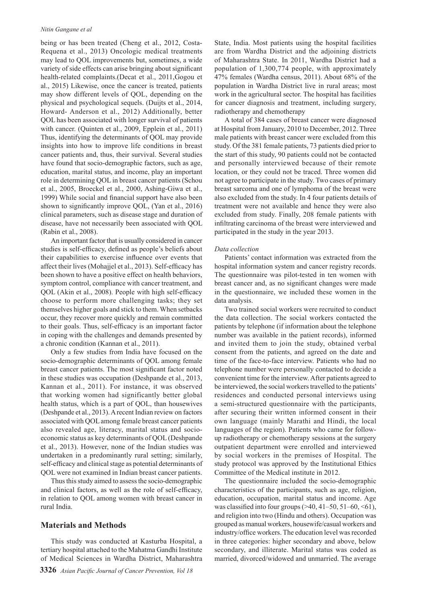#### *Nitin Gangane et al*

being or has been treated (Cheng et al., 2012, Costa-Requena et al., 2013) Oncologic medical treatments may lead to QOL improvements but, sometimes, a wide variety of side effects can arise bringing about significant health-related complaints.(Decat et al., 2011,Gogou et al., 2015) Likewise, once the cancer is treated, patients may show different levels of QOL, depending on the physical and psychological sequels. (Duijts et al., 2014, Howard- Anderson et al., 2012) Additionally, better QOL has been associated with longer survival of patients with cancer. (Quinten et al., 2009, Epplein et al., 2011) Thus, identifying the determinants of QOL may provide insights into how to improve life conditions in breast cancer patients and, thus, their survival. Several studies have found that socio-demographic factors, such as age, education, marital status, and income, play an important role in determining QOL in breast cancer patients (Schou et al., 2005, Broeckel et al., 2000, Ashing-Giwa et al., 1999) While social and financial support have also been shown to significantly improve QOL, (Yan et al., 2016) clinical parameters, such as disease stage and duration of disease, have not necessarily been associated with QOL (Rabin et al., 2008).

An important factor that is usually considered in cancer studies is self-efficacy, defined as people's beliefs about their capabilities to exercise influence over events that affect their lives (Mohajjel et al., 2013). Self-efficacy has been shown to have a positive effect on health behaviors, symptom control, compliance with cancer treatment, and QOL (Akin et al., 2008). People with high self-efficacy choose to perform more challenging tasks; they set themselves higher goals and stick to them. When setbacks occur, they recover more quickly and remain committed to their goals. Thus, self-efficacy is an important factor in coping with the challenges and demands presented by a chronic condition (Kannan et al., 2011).

Only a few studies from India have focused on the socio-demographic determinants of QOL among female breast cancer patients. The most significant factor noted in these studies was occupation (Deshpande et al., 2013, Kannan et al., 2011). For instance, it was observed that working women had significantly better global health status, which is a part of QOL, than housewives (Deshpande et al., 2013). A recent Indian review on factors associated with QOL among female breast cancer patients also revealed age, literacy, marital status and socioeconomic status as key determinants of QOL (Deshpande et al., 2013). However, none of the Indian studies was undertaken in a predominantly rural setting; similarly, self-efficacy and clinical stage as potential determinants of QOL were not examined in Indian breast cancer patients.

Thus this study aimed to assess the socio-demographic and clinical factors, as well as the role of self-efficacy, in relation to QOL among women with breast cancer in rural India.

#### **Materials and Methods**

This study was conducted at Kasturba Hospital, a tertiary hospital attached to the Mahatma Gandhi Institute of Medical Sciences in Wardha District, Maharashtra State, India. Most patients using the hospital facilities are from Wardha District and the adjoining districts of Maharashtra State. In 2011, Wardha District had a population of 1,300,774 people, with approximately 47% females (Wardha census, 2011). About 68% of the population in Wardha District live in rural areas; most work in the agricultural sector. The hospital has facilities for cancer diagnosis and treatment, including surgery, radiotherapy and chemotherapy

A total of 384 cases of breast cancer were diagnosed at Hospital from January, 2010 to December, 2012. Three male patients with breast cancer were excluded from this study. Of the 381 female patients, 73 patients died prior to the start of this study, 90 patients could not be contacted and personally interviewed because of their remote location, or they could not be traced. Three women did not agree to participate in the study. Two cases of primary breast sarcoma and one of lymphoma of the breast were also excluded from the study. In 4 four patients details of treatment were not available and hence they were also excluded from study. Finally, 208 female patients with infiltrating carcinoma of the breast were interviewed and participated in the study in the year 2013.

#### *Data collection*

Patients' contact information was extracted from the hospital information system and cancer registry records. The questionnaire was pilot-tested in ten women with breast cancer and, as no significant changes were made in the questionnaire, we included these women in the data analysis.

Two trained social workers were recruited to conduct the data collection. The social workers contacted the patients by telephone (if information about the telephone number was available in the patient records), informed and invited them to join the study, obtained verbal consent from the patients, and agreed on the date and time of the face-to-face interview. Patients who had no telephone number were personally contacted to decide a convenient time for the interview. After patients agreed to be interviewed, the social workers travelled to the patients' residences and conducted personal interviews using a semi-structured questionnaire with the participants, after securing their written informed consent in their own language (mainly Marathi and Hindi, the local languages of the region). Patients who came for followup radiotherapy or chemotherapy sessions at the surgery outpatient department were enrolled and interviewed by social workers in the premises of Hospital. The study protocol was approved by the Institutional Ethics Committee of the Medical institute in 2012.

The questionnaire included the socio-demographic characteristics of the participants, such as age, religion, education, occupation, marital status and income. Age was classified into four groups  $(>40, 41-50, 51-60, <61)$ , and religion into two (Hindu and others). Occupation was grouped as manual workers, housewife/casual workers and industry/office workers. The education level was recorded in three categories: higher secondary and above, below secondary, and illiterate. Marital status was coded as married, divorced/widowed and unmarried. The average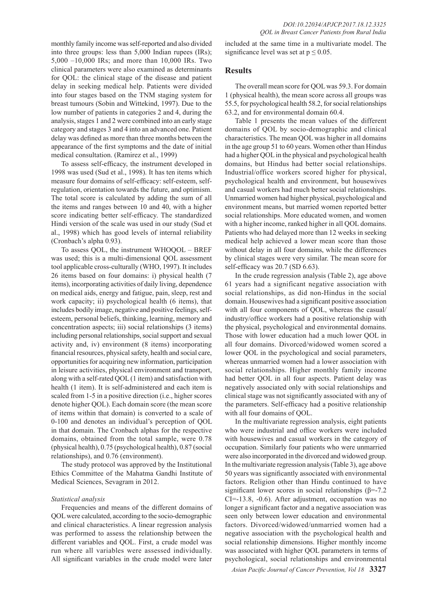monthly family income was self-reported and also divided into three groups: less than 5,000 Indian rupees (IRs); 5,000 –10,000 IRs; and more than 10,000 IRs. Two clinical parameters were also examined as determinants for QOL: the clinical stage of the disease and patient delay in seeking medical help. Patients were divided into four stages based on the TNM staging system for breast tumours (Sobin and Wittekind, 1997). Due to the low number of patients in categories 2 and 4, during the analysis, stages 1 and 2 were combined into an early stage category and stages 3 and 4 into an advanced one. Patient delay was defined as more than three months between the appearance of the first symptoms and the date of initial medical consultation. (Ramirez et al., 1999)

To assess self-efficacy, the instrument developed in 1998 was used (Sud et al., 1998). It has ten items which measure four domains of self-efficacy: self-esteem, selfregulation, orientation towards the future, and optimism. The total score is calculated by adding the sum of all the items and ranges between 10 and 40, with a higher score indicating better self-efficacy. The standardized Hindi version of the scale was used in our study (Sud et al., 1998) which has good levels of internal reliability (Cronbach's alpha 0.93).

To assess QOL, the instrument WHOQOL – BREF was used; this is a multi-dimensional QOL assessment tool applicable cross-culturally (WHO, 1997). It includes 26 items based on four domains: i) physical health (7 items), incorporating activities of daily living, dependence on medical aids, energy and fatigue, pain, sleep, rest and work capacity; ii) psychological health (6 items), that includes bodily image, negative and positive feelings, selfesteem, personal beliefs, thinking, learning, memory and concentration aspects; iii) social relationships (3 items) including personal relationships, social support and sexual activity and, iv) environment (8 items) incorporating financial resources, physical safety, health and social care, opportunities for acquiring new information, participation in leisure activities, physical environment and transport, along with a self-rated QOL (1 item) and satisfaction with health (1 item). It is self-administered and each item is scaled from 1-5 in a positive direction (i.e., higher scores denote higher QOL). Each domain score (the mean score of items within that domain) is converted to a scale of 0-100 and denotes an individual's perception of QOL in that domain. The Cronbach alphas for the respective domains, obtained from the total sample, were 0.78 (physical health), 0.75 (psychological health), 0.87 (social relationships), and 0.76 (environment).

The study protocol was approved by the Institutional Ethics Committee of the Mahatma Gandhi Institute of Medical Sciences, Sevagram in 2012.

#### *Statistical analysis*

Frequencies and means of the different domains of QOL were calculated, according to the socio-demographic and clinical characteristics. A linear regression analysis was performed to assess the relationship between the different variables and QOL. First, a crude model was run where all variables were assessed individually. All significant variables in the crude model were later

included at the same time in a multivariate model. The significance level was set at  $p \le 0.05$ .

### **Results**

The overall mean score for QOL was 59.3. For domain 1 (physical health), the mean score across all groups was 55.5, for psychological health 58.2, for social relationships 63.2, and for environmental domain 60.4.

Table 1 presents the mean values of the different domains of QOL by socio-demographic and clinical characteristics. The mean QOL was higher in all domains in the age group 51 to 60 years. Women other than Hindus had a higher QOL in the physical and psychological health domains, but Hindus had better social relationships. Industrial/office workers scored higher for physical, psychological health and environment, but housewives and casual workers had much better social relationships. Unmarried women had higher physical, psychological and environment means, but married women reported better social relationships. More educated women, and women with a higher income, ranked higher in all QOL domains. Patients who had delayed more than 12 weeks in seeking medical help achieved a lower mean score than those without delay in all four domains, while the differences by clinical stages were very similar. The mean score for self-efficacy was 20.7 (SD 6.63).

In the crude regression analysis (Table 2), age above 61 years had a significant negative association with social relationships, as did non-Hindus in the social domain. Housewives had a significant positive association with all four components of QOL, whereas the casual/ industry/office workers had a positive relationship with the physical, psychological and environmental domains. Those with lower education had a much lower QOL in all four domains. Divorced/widowed women scored a lower QOL in the psychological and social parameters, whereas unmarried women had a lower association with social relationships. Higher monthly family income had better QOL in all four aspects. Patient delay was negatively associated only with social relationships and clinical stage was not significantly associated with any of the parameters. Self-efficacy had a positive relationship with all four domains of QOL.

In the multivariate regression analysis, eight patients who were industrial and office workers were included with housewives and casual workers in the category of occupation. Similarly four patients who were unmarried were also incorporated in the divorced and widowed group. In the multivariate regression analysis (Table 3), age above 50 years was significantly associated with environmental factors. Religion other than Hindu continued to have significant lower scores in social relationships ( $\beta$ =-7.2 CI=-13.8, -0.6). After adjustment, occupation was no longer a significant factor and a negative association was seen only between lower education and environmental factors. Divorced/widowed/unmarried women had a negative association with the psychological health and social relationship dimensions. Higher monthly income was associated with higher QOL parameters in terms of psychological, social relationships and environmental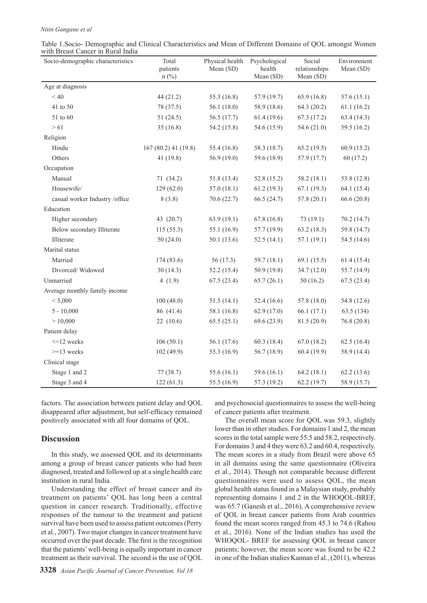#### *Nitin Gangane et al*

| Table 1. Socio- Demographic and Clinical Characteristics and Mean of Different Domains of QOL amongst Women |  |  |
|-------------------------------------------------------------------------------------------------------------|--|--|
| with Breast Cancer in Rural India                                                                           |  |  |

| Socio-demographic characteristics | Total<br>patients<br>$n$ (%) | Physical health<br>Mean (SD) | Psychological<br>health<br>Mean (SD) | Social<br>relationships<br>Mean (SD) | Environment<br>Mean (SD) |
|-----------------------------------|------------------------------|------------------------------|--------------------------------------|--------------------------------------|--------------------------|
| Age at diagnosis                  |                              |                              |                                      |                                      |                          |
| < 40                              | 44 (21.2)                    | 55.3 (16.8)                  | 57.9 (19.7)                          | 65.9(16.8)                           | 57.6(15.1)               |
| 41 to 50                          | 78 (37.5)                    | 56.1(18.0)                   | 58.9 (18.6)                          | 64.3(20.2)                           | 61.1(16.2)               |
| 51 to 60                          | 51(24.5)                     | 56.5(17.7)                   | 61.4(19.6)                           | 67.3(17.2)                           | 63.4(14.3)               |
| > 61                              | 35(16.8)                     | 54.2 (15.8)                  | 54.6 (15.9)                          | 54.6(21.0)                           | 59.5 (16.2)              |
| Religion                          |                              |                              |                                      |                                      |                          |
| Hindu                             | $167(80.2)$ 41 (19.8)        | 55.4 (16.8)                  | 58.3 (18.7)                          | 65.2(19.5)                           | 60.9(15.2)               |
| Others                            | 41 (19.8)                    | 56.9(19.0)                   | 59.6 (18.9)                          | 57.9 (17.7)                          | 60(17.2)                 |
| Occupation                        |                              |                              |                                      |                                      |                          |
| Manual                            | 71(34.2)                     | 51.8(13.4)                   | 52.8(15.2)                           | 58.2(18.1)                           | 53.8 (12.8)              |
| Housewife/                        | 129(62.0)                    | 57.0(18.1)                   | 61.2(19.3)                           | 67.1(19.3)                           | 64.1(15.4)               |
| casual worker Industry /office    | 8(3.8)                       | 70.6(22.7)                   | 66.5(24.7)                           | 57.8(20.1)                           | 66.6(20.8)               |
| Education                         |                              |                              |                                      |                                      |                          |
| Higher secondary                  | 43 (20.7)                    | 63.9(19.1)                   | 67.8(16.8)                           | 73(19.1)                             | 70.2(14.7)               |
| Below secondary Illiterate        | 115(55.3)                    | 55.1 (16.9)                  | 57.7 (19.9)                          | 63.2(18.3)                           | 59.8 (14.7)              |
| Illiterate                        | 50(24.0)                     | 50.1(13.6)                   | 52.5(14.1)                           | 57.1(19.1)                           | 54.5 (14.6)              |
| Marital status                    |                              |                              |                                      |                                      |                          |
| Married                           | 174 (83.6)                   | 56(17.3)                     | 59.7 (18.1)                          | 69.1(15.5)                           | 61.4(15.4)               |
| Divorced/Widowed                  | 30(14.3)                     | 52.2(15.4)                   | 50.9 (19.8)                          | 34.7(12.0)                           | 55.7 (14.9)              |
| Unmarried                         | 4 $(1.9)$                    | 67.5(23.4)                   | 65.7(26.1)                           | 50(16.2)                             | 67.5(23.4)               |
| Average monthly family income     |                              |                              |                                      |                                      |                          |
| < 5,000                           | 100(48.0)                    | 51.5(14.1)                   | 52.4(16.6)                           | 57.8 (18.0)                          | 54.8 (12.6)              |
| $5 - 10,000$                      | 86 (41.4)                    | 58.1 (16.8)                  | 62.9 (17.0)                          | 66.1(17.1)                           | 63.5(134)                |
| > 10,000                          | 22(10.6)                     | 65.5(25.1)                   | 69.6(23.9)                           | 81.5(20.9)                           | 76.8(20.8)               |
| Patient delay                     |                              |                              |                                      |                                      |                          |
| $\leq$ 12 weeks                   | 106(50.1)                    | 56.1 (17.6)                  | 60.3(18.4)                           | 67.0(18.2)                           | 62.5(16.4)               |
| $>=13$ weeks                      | 102(49.9)                    | 55.3 (16.9)                  | 56.7(18.9)                           | 60.4(19.9)                           | 58.9 (14.4)              |
| Clinical stage                    |                              |                              |                                      |                                      |                          |
| Stage 1 and 2                     | 77(38.7)                     | 55.6 (16.1)                  | 59.6 (16.1)                          | 64.2(18.1)                           | 62.2(13.6)               |
| Stage 3 and 4                     | 122(61.3)                    | 55.5 (16.9)                  | 57.3 (19.2)                          | 62.2(19.7)                           | 58.9 (15.7)              |

factors. The association between patient delay and QOL disappeared after adjustment, but self-efficacy remained positively associated with all four domains of QOL.

## **Discussion**

In this study, we assessed QOL and its determinants among a group of breast cancer patients who had been diagnosed, treated and followed up at a single health care institution in rural India.

Understanding the effect of breast cancer and its treatment on patients' QOL has long been a central question in cancer research. Traditionally, effective responses of the tumour to the treatment and patient survival have been used to assess patient outcomes (Perry et al., 2007). Two major changes in cancer treatment have occurred over the past decade. The first is the recognition that the patients' well-being is equally important in cancer treatment as their survival. The second is the use of QOL

and psychosocial questionnaires to assess the well-being of cancer patients after treatment.

The overall mean score for QOL was 59.3, slightly lower than in other studies. For domains 1 and 2, the mean scores in the total sample were 55.5 and 58.2, respectively. For domains 3 and 4 they were 63.2 and 60.4, respectively. The mean scores in a study from Brazil were above 65 in all domains using the same questionnaire (Oliveira et al., 2014). Though not comparable because different questionnaires were used to assess QOL, the mean global health status found in a Malaysian study, probably representing domains 1 and 2 in the WHOQOL-BREF, was 65.7 (Ganesh et al., 2016). A comprehensive review of QOL in breast cancer patients from Arab countries found the mean scores ranged from 45.3 to 74.6 (Rahou et al., 2016). None of the Indian studies has used the WHOQOL- BREF for assessing QOL in breast cancer patients; however, the mean score was found to be 42.2 in one of the Indian studies Kannan el al., (2011), whereas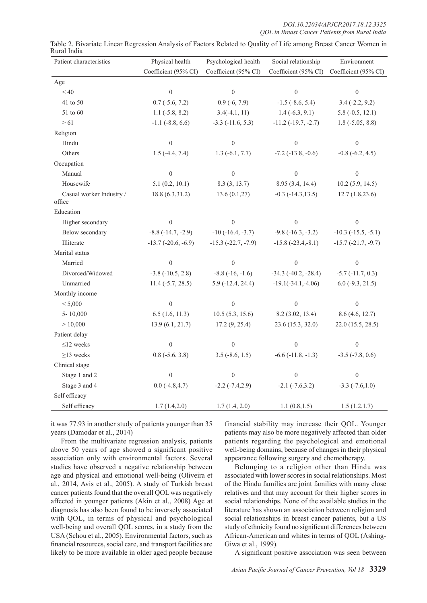| Patient characteristics            | Physical health          | Psychological health    | Social relationship         | Environment               |
|------------------------------------|--------------------------|-------------------------|-----------------------------|---------------------------|
|                                    | Coefficient (95% CI)     | Coefficient (95% CI)    | Coefficient (95% CI)        | Coefficient (95% CI)      |
| Age                                |                          |                         |                             |                           |
| < 40                               | $\theta$                 | $\theta$                | $\theta$                    | $\boldsymbol{0}$          |
| 41 to 50                           | $0.7$ ( $-5.6$ , $7.2$ ) | $0.9(-6, 7.9)$          | $-1.5$ ( $-8.6$ , 5.4)      | $3.4 (-2.2, 9.2)$         |
| 51 to 60                           | $1.1$ ( $-5.8$ , 8.2)    | $3.4(-4.1, 11)$         | $1.4(-6.3, 9.1)$            | $5.8(-0.5, 12.1)$         |
| > 61                               | $-1.1$ $(-8.8, 6.6)$     | $-3.3$ $(-11.6, 5.3)$   | $-11.2$ $(-19.7, -2.7)$     | $1.8$ ( $-5.05$ , $8.8$ ) |
| Religion                           |                          |                         |                             |                           |
| Hindu                              | $\boldsymbol{0}$         | $\mathbf{0}$            | $\boldsymbol{0}$            | $\boldsymbol{0}$          |
| Others                             | $1.5$ (-4.4, 7.4)        | $1.3(-6.1, 7.7)$        | $-7.2$ ( $-13.8$ , $-0.6$ ) | $-0.8$ $(-6.2, 4.5)$      |
| Occupation                         |                          |                         |                             |                           |
| Manual                             | $\boldsymbol{0}$         | $\boldsymbol{0}$        | $\boldsymbol{0}$            | $\boldsymbol{0}$          |
| Housewife                          | 5.1(0.2, 10.1)           | 8.3 (3, 13.7)           | 8.95 (3.4, 14.4)            | $10.2$ (5.9, 14.5)        |
| Casual worker Industry /<br>office | 18.8 (6.3,31.2)          | 13.6(0.1,27)            | $-0.3$ $(-14.3, 13.5)$      | 12.7(1.8,23.6)            |
| Education                          |                          |                         |                             |                           |
| Higher secondary                   | $\boldsymbol{0}$         | $\mathbf{0}$            | $\mathbf{0}$                | $\mathbf{0}$              |
| Below secondary                    | $-8.8$ $(-14.7, -2.9)$   | $-10$ $(-16.4, -3.7)$   | $-9.8$ $(-16.3, -3.2)$      | $-10.3$ $(-15.5, -5.1)$   |
| Illiterate                         | $-13.7$ $(-20.6, -6.9)$  | $-15.3$ $(-22.7, -7.9)$ | $-15.8$ $(-23.4,-8.1)$      | $-15.7$ $(-21.7, -9.7)$   |
| Marital status                     |                          |                         |                             |                           |
| Married                            | $\boldsymbol{0}$         | $\theta$                | $\theta$                    | $\boldsymbol{0}$          |
| Divorced/Widowed                   | $-3.8$ $(-10.5, 2.8)$    | $-8.8$ $(-16, -1.6)$    | $-34.3$ $(-40.2, -28.4)$    | $-5.7$ $(-11.7, 0.3)$     |
| Unmarried                          | $11.4 (-5.7, 28.5)$      | $5.9(-12.4, 24.4)$      | $-19.1(-34.1,-4.06)$        | $6.0$ (-9.3, 21.5)        |
| Monthly income                     |                          |                         |                             |                           |
| < 5,000                            | $\boldsymbol{0}$         | $\boldsymbol{0}$        | $\boldsymbol{0}$            | $\boldsymbol{0}$          |
| $5 - 10,000$                       | 6.5(1.6, 11.3)           | 10.5(5.3, 15.6)         | 8.2 (3.02, 13.4)            | 8.6(4.6, 12.7)            |
| > 10,000                           | 13.9(6.1, 21.7)          | 17.2(9, 25.4)           | 23.6 (15.3, 32.0)           | 22.0 (15.5, 28.5)         |
| Patient delay                      |                          |                         |                             |                           |
| $\leq$ 12 weeks                    | $\boldsymbol{0}$         | $\mathbf{0}$            | $\overline{0}$              | $\mathbf{0}$              |
| $\geq$ 13 weeks                    | $0.8$ ( $-5.6$ , $3.8$ ) | $3.5$ ( $-8.6$ , 1.5)   | $-6.6$ $(-11.8, -1.3)$      | $-3.5$ $(-7.8, 0.6)$      |
| Clinical stage                     |                          |                         |                             |                           |
| Stage 1 and 2                      | $\boldsymbol{0}$         | $\boldsymbol{0}$        | $\boldsymbol{0}$            | $\boldsymbol{0}$          |
| Stage 3 and 4                      | $0.0 (-4.8, 4.7)$        | $-2.2$ $(-7.4,2.9)$     | $-2.1$ $(-7.6,3.2)$         | $-3.3$ $(-7.6,1.0)$       |
| Self efficacy                      |                          |                         |                             |                           |
| Self efficacy                      | 1.7(1.4,2.0)             | 1.7(1.4, 2.0)           | 1.1(0.8, 1.5)               | 1.5(1.2,1.7)              |

Table 2. Bivariate Linear Regression Analysis of Factors Related to Quality of Life among Breast Cancer Women in Rural India

it was 77.93 in another study of patients younger than 35 years (Damodar et al., 2014)

From the multivariate regression analysis, patients above 50 years of age showed a significant positive association only with environmental factors. Several studies have observed a negative relationship between age and physical and emotional well-being (Oliveira et al., 2014, Avis et al., 2005). A study of Turkish breast cancer patients found that the overall QOL was negatively affected in younger patients (Akin et al., 2008) Age at diagnosis has also been found to be inversely associated with QOL, in terms of physical and psychological well-being and overall QOL scores, in a study from the USA (Schou et al., 2005). Environmental factors, such as financial resources, social care, and transport facilities are likely to be more available in older aged people because

financial stability may increase their QOL. Younger patients may also be more negatively affected than older patients regarding the psychological and emotional well-being domains, because of changes in their physical appearance following surgery and chemotherapy.

Belonging to a religion other than Hindu was associated with lower scores in social relationships. Most of the Hindu families are joint families with many close relatives and that may account for their higher scores in social relationships. None of the available studies in the literature has shown an association between religion and social relationships in breast cancer patients, but a US study of ethnicity found no significant differences between African-American and whites in terms of QOL (Ashing-Giwa et al., 1999).

A significant positive association was seen between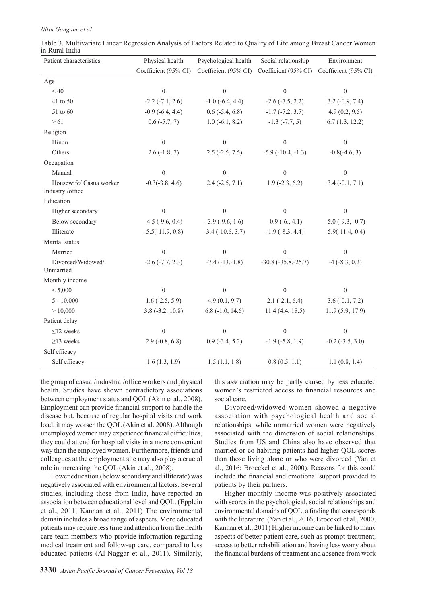*Nitin Gangane et al*

| Patient characteristics                     | Physical health        | Psychological health   | Social relationship    | Environment           |
|---------------------------------------------|------------------------|------------------------|------------------------|-----------------------|
|                                             | Coefficient (95% CI)   | Coefficient (95% CI)   | Coefficient (95% CI)   | Coefficient (95% CI)  |
| Age                                         |                        |                        |                        |                       |
| < 40                                        | $\boldsymbol{0}$       | $\boldsymbol{0}$       | $\boldsymbol{0}$       | $\boldsymbol{0}$      |
| 41 to 50                                    | $-2.2$ $(-7.1, 2.6)$   | $-1.0$ ( $-6.4$ , 4.4) | $-2.6$ $(-7.5, 2.2)$   | $3.2(-0.9, 7.4)$      |
| 51 to 60                                    | $-0.9$ $(-6.4, 4.4)$   | $0.6$ ( $-5.4$ , 6.8)  | $-1.7$ $(-7.2, 3.7)$   | 4.9(0.2, 9.5)         |
| > 61                                        | $0.6$ ( $-5.7, 7$ )    | $1.0(-6.1, 8.2)$       | $-1.3$ $(-7.7, 5)$     | 6.7(1.3, 12.2)        |
| Religion                                    |                        |                        |                        |                       |
| Hindu                                       | $\boldsymbol{0}$       | $\boldsymbol{0}$       | $\boldsymbol{0}$       | $\boldsymbol{0}$      |
| Others                                      | $2.6(-1.8, 7)$         | $2.5$ (-2.5, 7.5)      | $-5.9(-10.4, -1.3)$    | $-0.8(-4.6, 3)$       |
| Occupation                                  |                        |                        |                        |                       |
| Manual                                      | $\boldsymbol{0}$       | $\boldsymbol{0}$       | $\boldsymbol{0}$       | $\boldsymbol{0}$      |
| Housewife/ Casua worker<br>Industry /office | $-0.3(-3.8, 4.6)$      | $2.4(-2.5, 7.1)$       | $1.9$ (-2.3, 6.2)      | $3.4(-0.1, 7.1)$      |
| Education                                   |                        |                        |                        |                       |
| Higher secondary                            | $\theta$               | $\theta$               | $\Omega$               | $\boldsymbol{0}$      |
| Below secondary                             | $-4.5$ ( $-9.6$ , 0.4) | $-3.9$ ( $-9.6$ , 1.6) | $-0.9(-6., 4.1)$       | $-5.0$ $(-9.3, -0.7)$ |
| Illiterate                                  | $-5.5(-11.9, 0.8)$     | $-3.4$ $(-10.6, 3.7)$  | $-1.9$ ( $-8.3, 4.4$ ) | $-5.9(-11.4,-0.4)$    |
| Marital status                              |                        |                        |                        |                       |
| Married                                     | $\theta$               | $\mathbf{0}$           | $\theta$               | $\mathbf{0}$          |
| Divorced/Widowed/<br>Unmarried              | $-2.6$ $(-7.7, 2.3)$   | $-7.4(-13,-1.8)$       | $-30.8(-35.8,-25.7)$   | $-4$ $(-8.3, 0.2)$    |
| Monthly income                              |                        |                        |                        |                       |
| < 5,000                                     | $\boldsymbol{0}$       | $\boldsymbol{0}$       | $\overline{0}$         | $\mathbf{0}$          |
| $5 - 10,000$                                | $1.6$ (-2.5, 5.9)      | 4.9(0.1, 9.7)          | $2.1(-2.1, 6.4)$       | $3.6(-0.1, 7.2)$      |
| > 10,000                                    | $3.8(-3.2, 10.8)$      | $6.8$ ( $-1.0$ , 14.6) | 11.4(4.4, 18.5)        | 11.9(5.9, 17.9)       |
| Patient delay                               |                        |                        |                        |                       |
| $\leq$ 12 weeks                             | $\boldsymbol{0}$       | $\boldsymbol{0}$       | $\boldsymbol{0}$       | $\boldsymbol{0}$      |
| $\geq$ 13 weeks                             | $2.9(-0.8, 6.8)$       | $0.9$ ( $-3.4$ , 5.2)  | $-1.9$ ( $-5.8$ , 1.9) | $-0.2$ $(-3.5, 3.0)$  |
| Self efficacy                               |                        |                        |                        |                       |
| Self efficacy                               | 1.6(1.3, 1.9)          | 1.5(1.1, 1.8)          | 0.8(0.5, 1.1)          | 1.1(0.8, 1.4)         |

Table 3. Multivariate Linear Regression Analysis of Factors Related to Quality of Life among Breast Cancer Women in Rural India

the group of casual/industrial/office workers and physical health. Studies have shown contradictory associations between employment status and QOL (Akin et al., 2008). Employment can provide financial support to handle the disease but, because of regular hospital visits and work load, it may worsen the QOL (Akin et al. 2008). Although unemployed women may experience financial difficulties, they could attend for hospital visits in a more convenient way than the employed women. Furthermore, friends and colleagues at the employment site may also play a crucial role in increasing the QOL (Akin et al., 2008).

Lower education (below secondary and illiterate) was negatively associated with environmental factors. Several studies, including those from India, have reported an association between educational level and QOL. (Epplein et al., 2011; Kannan et al., 2011) The environmental domain includes a broad range of aspects. More educated patients may require less time and attention from the health care team members who provide information regarding medical treatment and follow-up care, compared to less educated patients (Al-Naggar et al., 2011). Similarly,

environmental domains of QOL, a finding that corresponds with the literature. (Yan et al., 2016; Broeckel et al., 2000;

social care.

patients by their partners.

Kannan et al., 2011) Higher income can be linked to many aspects of better patient care, such as prompt treatment, access to better rehabilitation and having less worry about the financial burdens of treatment and absence from work

Higher monthly income was positively associated with scores in the psychological, social relationships and

this association may be partly caused by less educated women's restricted access to financial resources and

Divorced/widowed women showed a negative association with psychological health and social relationships, while unmarried women were negatively associated with the dimension of social relationships. Studies from US and China also have observed that married or co-habiting patients had higher QOL scores than those living alone or who were divorced (Yan et al., 2016; Broeckel et al., 2000). Reasons for this could include the financial and emotional support provided to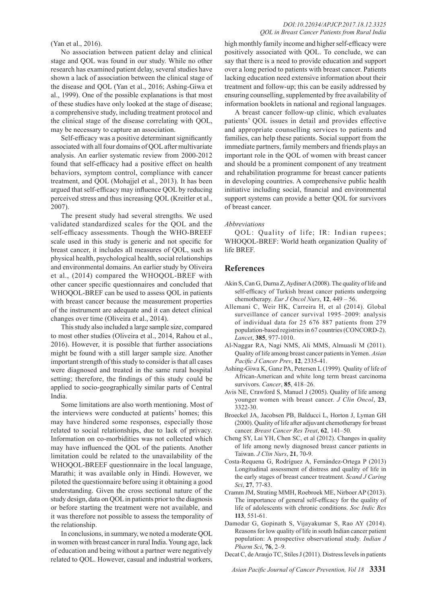### (Yan et al., 2016).

No association between patient delay and clinical stage and QOL was found in our study. While no other research has examined patient delay, several studies have shown a lack of association between the clinical stage of the disease and QOL (Yan et al., 2016; Ashing-Giwa et al., 1999). One of the possible explanations is that most of these studies have only looked at the stage of disease; a comprehensive study, including treatment protocol and the clinical stage of the disease correlating with QOL, may be necessary to capture an association.

Self-efficacy was a positive determinant significantly associated with all four domains of QOL after multivariate analysis. An earlier systematic review from 2000-2012 found that self-efficacy had a positive effect on health behaviors, symptom control, compliance with cancer treatment, and QOL (Mohajjel et al., 2013). It has been argued that self-efficacy may influence QOL by reducing perceived stress and thus increasing QOL (Kreitler et al., 2007).

The present study had several strengths. We used validated standardized scales for the QOL and the self-efficacy assessments. Though the WHO-BREEF scale used in this study is generic and not specific for breast cancer, it includes all measures of QOL, such as physical health, psychological health, social relationships and environmental domains. An earlier study by Oliveira et al., (2014) compared the WHOQOL-BREF with other cancer specific questionnaires and concluded that WHOQOL-BREF can be used to assess QOL in patients with breast cancer because the measurement properties of the instrument are adequate and it can detect clinical changes over time (Oliveira et al., 2014).

This study also included a large sample size, compared to most other studies (Oliveira et al., 2014, Rahou et al., 2016). However, it is possible that further associations might be found with a still larger sample size. Another important strength of this study to consider is that all cases were diagnosed and treated in the same rural hospital setting; therefore, the findings of this study could be applied to socio-geographically similar parts of Central India.

Some limitations are also worth mentioning. Most of the interviews were conducted at patients' homes; this may have hindered some responses, especially those related to social relationships, due to lack of privacy. Information on co-morbidities was not collected which may have influenced the QOL of the patients. Another limitation could be related to the unavailability of the WHOQOL-BREEF questionnaire in the local language, Marathi; it was available only in Hindi. However, we piloted the questionnaire before using it obtaining a good understanding. Given the cross sectional nature of the study design, data on QOL in patients prior to the diagnosis or before starting the treatment were not available, and it was therefore not possible to assess the temporality of the relationship.

In conclusions, in summary, we noted a moderate QOL in women with breast cancer in rural India. Young age, lack of education and being without a partner were negatively related to QOL. However, casual and industrial workers,

#### *DOI:10.22034/APJCP.2017.18.12.3325 QOL in Breast Cancer Patients from Rural India*

high monthly family income and higher self-efficacy were positively associated with QOL. To conclude, we can say that there is a need to provide education and support over a long period to patients with breast cancer. Patients lacking education need extensive information about their treatment and follow-up; this can be easily addressed by ensuring counselling, supplemented by free availability of information booklets in national and regional languages.

A breast cancer follow-up clinic, which evaluates patients' QOL issues in detail and provides effective and appropriate counselling services to patients and families, can help these patients. Social support from the immediate partners, family members and friends plays an important role in the QOL of women with breast cancer and should be a prominent component of any treatment and rehabilitation programme for breast cancer patients in developing countries. A comprehensive public health initiative including social, financial and environmental support systems can provide a better QOL for survivors of breast cancer.

#### *Abbreviations*

QOL: Quality of life; IR: Indian rupees; WHOQOL-BREF: World heath organization Quality of life BREF.

#### **References**

- Akin S, Can G, Durna Z, Aydiner A (2008). The quality of life and self-efficacy of Turkish breast cancer patients undergoing chemotherapy. *Eur J Oncol Nurs*, **12**, 449 – 56.
- Allemani C, Weir HK, Carreira H, et al (2014). Global surveillance of cancer survival 1995–2009: analysis of individual data for 25 676 887 patients from 279 population-based registries in 67 countries (CONCORD-2). *Lancet*, **385**, 977-1010.
- Al-Naggar RA, Nagi NMS, Ali MMS, Almuasli M (2011). Quality of life among breast cancer patients in Yemen. *Asian Pacific J Cancer Prev*, **12**, 2335-41.
- Ashing-Giwa K, Ganz PA, Petersen L (1999). Quality of life of African-American and white long term breast carcinoma survivors. *Cancer*, **85**, 418–26.
- Avis NE, Crawford S, Manuel J (2005). Quality of life among younger women with breast cancer. *J Clin Oncol*, **23**, 3322-30.
- Broeckel JA, Jacobsen PB, Balducci L, Horton J, Lyman GH (2000). Quality of life after adjuvant chemotherapy for breast cancer. *Breast Cancer Res Treat*, **62**, 141–50.
- Cheng SY, Lai YH, Chen SC, et al (2012). Changes in quality of life among newly diagnosed breast cancer patients in Taiwan. *J Clin Nurs*, **21**, 70-9.
- Costa-Requena G, Rodríguez A, Fernández-Ortega P (2013) Longitudinal assessment of distress and quality of life in the early stages of breast cancer treatment. *Scand J Caring Sci*, **27**, 77-83.
- Cramm JM, Strating MMH, Roebroek ME, Nirboer AP (2013). The importance of general self-efficacy for the quality of life of adolescents with chronic conditions. *Soc Indic Res*  **113**, 551-61.
- Damodar G, Gopinath S, Vijayakumar S, Rao AY (2014). Reasons for low quality of life in south Indian cancer patient population: A prospective observational study. *Indian J Pharm Sci*, **76**, 2–9.
- Decat C, de Araujo TC, Stiles J (2011). Distress levels in patients